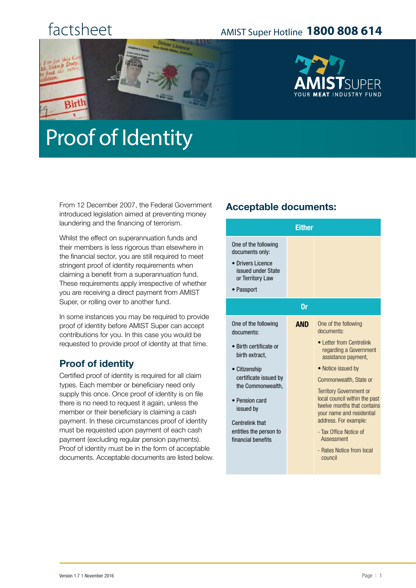## factsheet

Rirl

### AMIST Super Hotline **1800 808 614**



# Proof of Identity

From 12 December 2007, the Federal Government introduced legislation aimed at preventing money laundering and the financing of terrorism.

Whilst the effect on superannuation funds and their members is less rigorous than elsewhere in the financial sector, you are still required to meet stringent proof of identity requirements when claiming a benefit from a superannuation fund. These requirements apply irrespective of whether you are receiving a direct payment from AMIST Super, or rolling over to another fund.

In some instances you may be required to provide proof of identity before AMIST Super can accept contributions for you. In this case you would be requested to provide proof of identity at that time.

#### **Proof of identity**

Certified proof of identity is required for all claim types. Each member or beneficiary need only supply this once. Once proof of identity is on file there is no need to request it again, unless the member or their beneficiary is claiming a cash payment. In these circumstances proof of identity must be requested upon payment of each cash payment (excluding regular pension payments). Proof of identity must be in the form of acceptable documents. Acceptable documents are listed below.

#### **Acceptable documents:**

| <b>Either</b>                                                                                                                                                                                                                                          |            |                                                                                                                                                                                                                                                                                                                                                                                                         |  |
|--------------------------------------------------------------------------------------------------------------------------------------------------------------------------------------------------------------------------------------------------------|------------|---------------------------------------------------------------------------------------------------------------------------------------------------------------------------------------------------------------------------------------------------------------------------------------------------------------------------------------------------------------------------------------------------------|--|
| One of the following<br>documents only:<br>• Drivers Licence<br>issued under State<br>or Territory Law<br>• Passport                                                                                                                                   |            |                                                                                                                                                                                                                                                                                                                                                                                                         |  |
| 0r                                                                                                                                                                                                                                                     |            |                                                                                                                                                                                                                                                                                                                                                                                                         |  |
| One of the following<br>documents:<br>• Birth certificate or<br>birth extract.<br>• Citizenship<br>certificate issued by<br>the Commonwealth,<br>• Pension card<br>issued by<br><b>Centrelink that</b><br>entitles the person to<br>financial benefits | <b>AND</b> | One of the following<br>documents:<br>• Letter from Centrelink<br>regarding a Government<br>assistance payment,<br>• Notice issued by<br>Commonwealth, State or<br><b>Territory Government or</b><br>local council within the past<br>twelve months that contains<br>your name and residential<br>address. For example:<br>- Tax Office Notice of<br>Assessment<br>- Rates Notice from local<br>council |  |